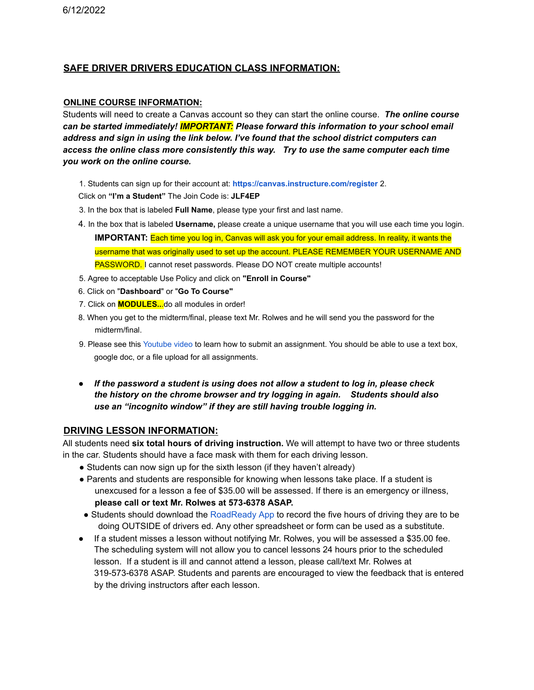## **SAFE DRIVER DRIVERS EDUCATION CLASS INFORMATION:**

## **ONLINE COURSE INFORMATION:**

Students will need to create a Canvas account so they can start the online course. *The online course can be started immediately! IMPORTANT: Please forward this information to your school email address and sign in using the link below. I've found that the school district computers can access the online class more consistently this way. Try to use the same computer each time you work on the online course.*

1. Students can sign up for their account at: **https://canvas.instructure.com/register** 2.

Click on **"I'm a Student"** The Join Code is: **JLF4EP**

- 3. In the box that is labeled **Full Name**, please type your first and last name.
- 4. In the box that is labeled **Username,** please create a unique username that you will use each time you login.
	- **IMPORTANT:** Each time you log in, Canvas will ask you for your email address. In reality, it wants the username that was originally used to set up the account. PLEASE REMEMBER YOUR USERNAME AND PASSWORD. I cannot reset passwords. Please DO NOT create multiple accounts!
- 5. Agree to acceptable Use Policy and click on **"Enroll in Course"**
- 6. Click on "**Dashboard**" or "**Go To Course"**
- 7. Click on **MODULES..**.do all modules in order!
- 8. When you get to the midterm/final, please text Mr. Rolwes and he will send you the password for the midterm/final.
- 9. Please see this Youtube video to learn how to submit an assignment. You should be able to use a text box, google doc, or a file upload for all assignments.
- *● If the password a student is using does not allow a student to log in, please check the history on the chrome browser and try logging in again. Students should also use an "incognito window" if they are still having trouble logging in.*

## **DRIVING LESSON INFORMATION:**

All students need **six total hours of driving instruction.** We will attempt to have two or three students in the car. Students should have a face mask with them for each driving lesson.

- Students can now sign up for the sixth lesson (if they haven't already)
- Parents and students are responsible for knowing when lessons take place. If a student is unexcused for a lesson a fee of \$35.00 will be assessed. If there is an emergency or illness, **please call or text Mr. Rolwes at 573-6378 ASAP.**
- Students should download the RoadReady App to record the five hours of driving they are to be doing OUTSIDE of drivers ed. Any other spreadsheet or form can be used as a substitute.
- If a student misses a lesson without notifying Mr. Rolwes, you will be assessed a \$35.00 fee. The scheduling system will not allow you to cancel lessons 24 hours prior to the scheduled lesson. If a student is ill and cannot attend a lesson, please call/text Mr. Rolwes at 319-573-6378 ASAP. Students and parents are encouraged to view the feedback that is entered by the driving instructors after each lesson.